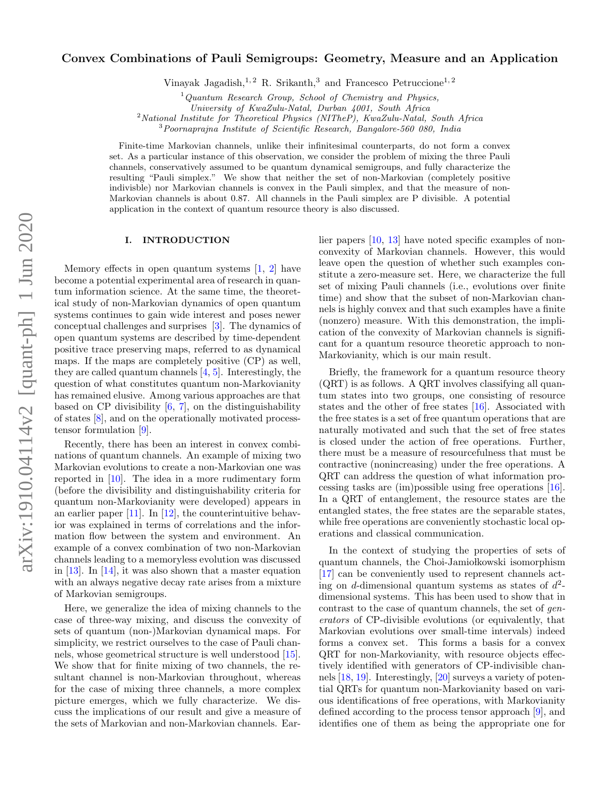# Convex Combinations of Pauli Semigroups: Geometry, Measure and an Application

Vinayak Jagadish,<sup>1, 2</sup> R. Srikanth,<sup>3</sup> and Francesco Petruccione<sup>1, 2</sup>

 $1$ Quantum Research Group, School of Chemistry and Physics,

 $2$ National Institute for Theoretical Physics (NITheP), KwaZulu-Natal, South Africa

<sup>3</sup>Poornaprajna Institute of Scientific Research, Bangalore-560 080, India

Finite-time Markovian channels, unlike their infinitesimal counterparts, do not form a convex set. As a particular instance of this observation, we consider the problem of mixing the three Pauli channels, conservatively assumed to be quantum dynamical semigroups, and fully characterize the resulting "Pauli simplex." We show that neither the set of non-Markovian (completely positive indivisble) nor Markovian channels is convex in the Pauli simplex, and that the measure of non-Markovian channels is about 0.87. All channels in the Pauli simplex are P divisible. A potential application in the context of quantum resource theory is also discussed.

#### I. INTRODUCTION

Memory effects in open quantum systems [\[1,](#page-4-0) [2\]](#page-4-1) have become a potential experimental area of research in quantum information science. At the same time, the theoretical study of non-Markovian dynamics of open quantum systems continues to gain wide interest and poses newer conceptual challenges and surprises [\[3\]](#page-4-2). The dynamics of open quantum systems are described by time-dependent positive trace preserving maps, referred to as dynamical maps. If the maps are completely positive (CP) as well, they are called quantum channels  $[4, 5]$  $[4, 5]$ . Interestingly, the question of what constitutes quantum non-Markovianity has remained elusive. Among various approaches are that based on CP divisibility  $[6, 7]$  $[6, 7]$ , on the distinguishability of states [\[8\]](#page-4-7), and on the operationally motivated processtensor formulation [\[9\]](#page-4-8).

Recently, there has been an interest in convex combinations of quantum channels. An example of mixing two Markovian evolutions to create a non-Markovian one was reported in [\[10\]](#page-4-9). The idea in a more rudimentary form (before the divisibility and distinguishability criteria for quantum non-Markovianity were developed) appears in an earlier paper  $[11]$ . In  $[12]$ , the counterintuitive behavior was explained in terms of correlations and the information flow between the system and environment. An example of a convex combination of two non-Markovian channels leading to a memoryless evolution was discussed in [\[13\]](#page-4-12). In [\[14\]](#page-4-13), it was also shown that a master equation with an always negative decay rate arises from a mixture of Markovian semigroups.

Here, we generalize the idea of mixing channels to the case of three-way mixing, and discuss the convexity of sets of quantum (non-)Markovian dynamical maps. For simplicity, we restrict ourselves to the case of Pauli channels, whose geometrical structure is well understood [\[15\]](#page-4-14). We show that for finite mixing of two channels, the resultant channel is non-Markovian throughout, whereas for the case of mixing three channels, a more complex picture emerges, which we fully characterize. We discuss the implications of our result and give a measure of the sets of Markovian and non-Markovian channels. Earlier papers [\[10,](#page-4-9) [13\]](#page-4-12) have noted specific examples of nonconvexity of Markovian channels. However, this would leave open the question of whether such examples constitute a zero-measure set. Here, we characterize the full set of mixing Pauli channels (i.e., evolutions over finite time) and show that the subset of non-Markovian channels is highly convex and that such examples have a finite (nonzero) measure. With this demonstration, the implication of the convexity of Markovian channels is significant for a quantum resource theoretic approach to non-Markovianity, which is our main result.

Briefly, the framework for a quantum resource theory (QRT) is as follows. A QRT involves classifying all quantum states into two groups, one consisting of resource states and the other of free states [\[16\]](#page-4-15). Associated with the free states is a set of free quantum operations that are naturally motivated and such that the set of free states is closed under the action of free operations. Further, there must be a measure of resourcefulness that must be contractive (nonincreasing) under the free operations. A QRT can address the question of what information processing tasks are (im)possible using free operations [\[16\]](#page-4-15). In a QRT of entanglement, the resource states are the entangled states, the free states are the separable states, while free operations are conveniently stochastic local operations and classical communication.

In the context of studying the properties of sets of quantum channels, the Choi-Jamiołkowski isomorphism [\[17\]](#page-4-16) can be conveniently used to represent channels acting on d-dimensional quantum systems as states of  $d^2$ dimensional systems. This has been used to show that in contrast to the case of quantum channels, the set of generators of CP-divisible evolutions (or equivalently, that Markovian evolutions over small-time intervals) indeed forms a convex set. This forms a basis for a convex QRT for non-Markovianity, with resource objects effectively identified with generators of CP-indivisible channels [\[18,](#page-4-17) [19\]](#page-4-18). Interestingly, [\[20\]](#page-4-19) surveys a variety of potential QRTs for quantum non-Markovianity based on various identifications of free operations, with Markovianity defined according to the process tensor approach [\[9\]](#page-4-8), and identifies one of them as being the appropriate one for

University of KwaZulu-Natal, Durban 4001, South Africa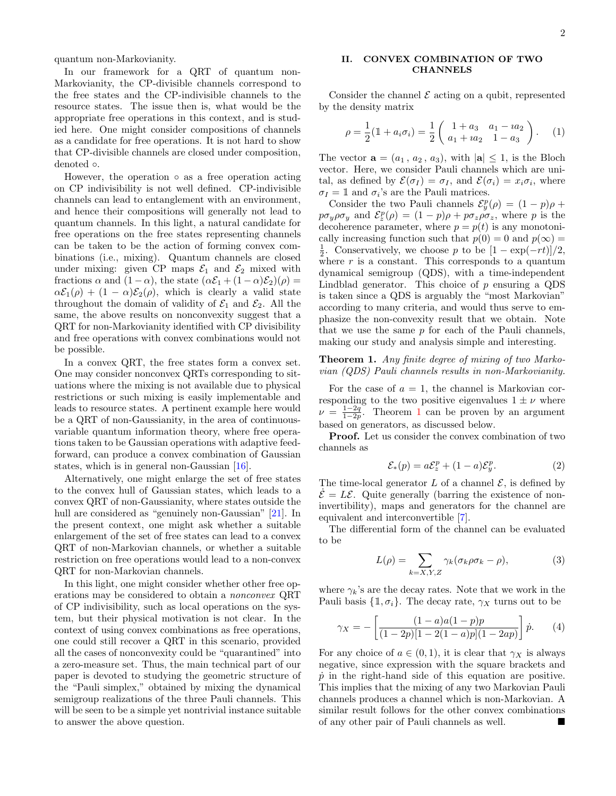quantum non-Markovianity.

In our framework for a QRT of quantum non-Markovianity, the CP-divisible channels correspond to the free states and the CP-indivisible channels to the resource states. The issue then is, what would be the appropriate free operations in this context, and is studied here. One might consider compositions of channels as a candidate for free operations. It is not hard to show that CP-divisible channels are closed under composition, denoted ◦.

However, the operation  $\circ$  as a free operation acting on CP indivisibility is not well defined. CP-indivisible channels can lead to entanglement with an environment, and hence their compositions will generally not lead to quantum channels. In this light, a natural candidate for free operations on the free states representing channels can be taken to be the action of forming convex combinations (i.e., mixing). Quantum channels are closed under mixing: given CP maps  $\mathcal{E}_1$  and  $\mathcal{E}_2$  mixed with fractions  $\alpha$  and  $(1 - \alpha)$ , the state  $(\alpha \mathcal{E}_1 + (1 - \alpha) \mathcal{E}_2)(\rho) =$  $\alpha \mathcal{E}_1(\rho) + (1 - \alpha) \mathcal{E}_2(\rho)$ , which is clearly a valid state throughout the domain of validity of  $\mathcal{E}_1$  and  $\mathcal{E}_2$ . All the same, the above results on nonconvexity suggest that a QRT for non-Markovianity identified with CP divisibility and free operations with convex combinations would not be possible.

In a convex QRT, the free states form a convex set. One may consider nonconvex QRTs corresponding to situations where the mixing is not available due to physical restrictions or such mixing is easily implementable and leads to resource states. A pertinent example here would be a QRT of non-Gaussianity, in the area of continuousvariable quantum information theory, where free operations taken to be Gaussian operations with adaptive feedforward, can produce a convex combination of Gaussian states, which is in general non-Gaussian [\[16\]](#page-4-15).

Alternatively, one might enlarge the set of free states to the convex hull of Gaussian states, which leads to a convex QRT of non-Gaussianity, where states outside the hull are considered as "genuinely non-Gaussian" [\[21\]](#page-4-20). In the present context, one might ask whether a suitable enlargement of the set of free states can lead to a convex QRT of non-Markovian channels, or whether a suitable restriction on free operations would lead to a non-convex QRT for non-Markovian channels.

In this light, one might consider whether other free operations may be considered to obtain a nonconvex QRT of CP indivisibility, such as local operations on the system, but their physical motivation is not clear. In the context of using convex combinations as free operations, one could still recover a QRT in this scenario, provided all the cases of nonconvexity could be "quarantined" into a zero-measure set. Thus, the main technical part of our paper is devoted to studying the geometric structure of the "Pauli simplex," obtained by mixing the dynamical semigroup realizations of the three Pauli channels. This will be seen to be a simple yet nontrivial instance suitable to answer the above question.

## II. CONVEX COMBINATION OF TWO CHANNELS

Consider the channel  $\mathcal E$  acting on a qubit, represented by the density matrix

$$
\rho = \frac{1}{2}(\mathbb{1} + a_i \sigma_i) = \frac{1}{2} \begin{pmatrix} 1 + a_3 & a_1 - ia_2 \\ a_1 + ia_2 & 1 - a_3 \end{pmatrix}.
$$
 (1)

The vector  $\mathbf{a} = (a_1, a_2, a_3)$ , with  $|\mathbf{a}| \leq 1$ , is the Bloch vector. Here, we consider Pauli channels which are unital, as defined by  $\mathcal{E}(\sigma_I) = \sigma_I$ , and  $\mathcal{E}(\sigma_i) = x_i \sigma_i$ , where  $\sigma_I = \mathbb{1}$  and  $\sigma_i$ 's are the Pauli matrices.

Consider the two Pauli channels  $\mathcal{E}_y^p(\rho) = (1 - p)\rho +$  $p\sigma_y \rho \sigma_y$  and  $\mathcal{E}_z^p(\rho) = (1-p)\rho + p\sigma_z \rho \sigma_z$ , where p is the decoherence parameter, where  $p = p(t)$  is any monotonically increasing function such that  $p(0) = 0$  and  $p(\infty) =$  $\frac{1}{2}$ . Conservatively, we choose p to be  $\left[1 - \exp(-rt)\right]/2$ , where  $r$  is a constant. This corresponds to a quantum dynamical semigroup (QDS), with a time-independent Lindblad generator. This choice of  $p$  ensuring a QDS is taken since a QDS is arguably the "most Markovian" according to many criteria, and would thus serve to emphasize the non-convexity result that we obtain. Note that we use the same  $p$  for each of the Pauli channels, making our study and analysis simple and interesting.

# <span id="page-1-0"></span>Theorem 1. Any finite degree of mixing of two Markovian (QDS) Pauli channels results in non-Markovianity.

For the case of  $a = 1$ , the channel is Markovian corresponding to the two positive eigenvalues  $1 \pm \nu$  where  $\nu = \frac{1-2q}{1-2p}$  $\nu = \frac{1-2q}{1-2p}$  $\nu = \frac{1-2q}{1-2p}$ . Theorem 1 can be proven by an argument based on generators, as discussed below.

Proof. Let us consider the convex combination of two channels as

<span id="page-1-2"></span>
$$
\mathcal{E}_*(p) = a\mathcal{E}_z^p + (1 - a)\mathcal{E}_y^p. \tag{2}
$$

The time-local generator  $L$  of a channel  $\mathcal{E}$ , is defined by  $\dot{\mathcal{E}} = L\mathcal{E}$ . Quite generally (barring the existence of noninvertibility), maps and generators for the channel are equivalent and interconvertible [\[7\]](#page-4-6).

The differential form of the channel can be evaluated to be

<span id="page-1-1"></span>
$$
L(\rho) = \sum_{k=X,Y,Z} \gamma_k (\sigma_k \rho \sigma_k - \rho), \tag{3}
$$

where  $\gamma_k$ 's are the decay rates. Note that we work in the Pauli basis  $\{\mathbb{1}, \sigma_i\}$ . The decay rate,  $\gamma_X$  turns out to be

$$
\gamma_X = -\left[\frac{(1-a)a(1-p)p}{(1-2p)[1-2(1-a)p](1-2ap)}\right]\dot{p}.
$$
 (4)

For any choice of  $a \in (0, 1)$ , it is clear that  $\gamma_X$  is always negative, since expression with the square brackets and  $\dot{p}$  in the right-hand side of this equation are positive. This implies that the mixing of any two Markovian Pauli channels produces a channel which is non-Markovian. A similar result follows for the other convex combinations of any other pair of Pauli channels as well.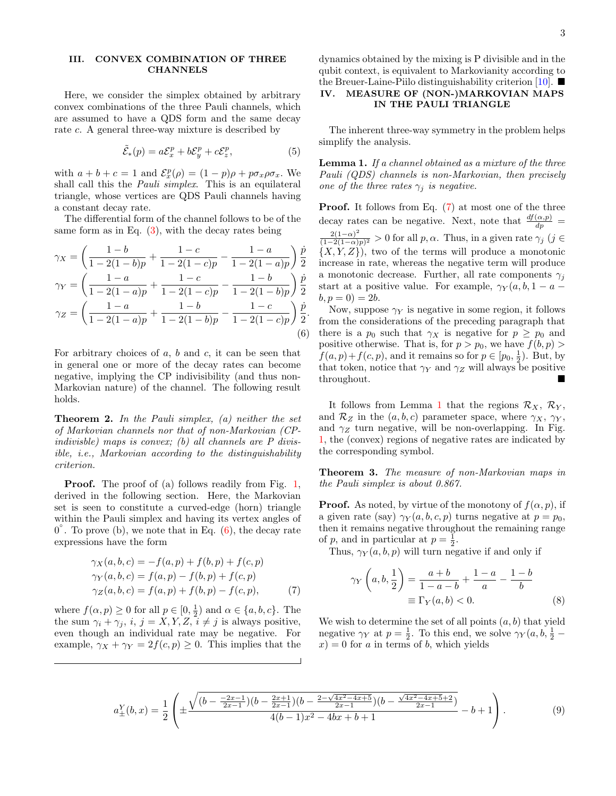# III. CONVEX COMBINATION OF THREE **CHANNELS**

Here, we consider the simplex obtained by arbitrary convex combinations of the three Pauli channels, which are assumed to have a QDS form and the same decay rate c. A general three-way mixture is described by

$$
\tilde{\mathcal{E}}_*(p) = a\mathcal{E}_x^p + b\mathcal{E}_y^p + c\mathcal{E}_z^p,\tag{5}
$$

with  $a + b + c = 1$  and  $\mathcal{E}_x^p(\rho) = (1 - p)\rho + p\sigma_x\rho\sigma_x$ . We shall call this the Pauli simplex. This is an equilateral triangle, whose vertices are QDS Pauli channels having a constant decay rate.

The differential form of the channel follows to be of the same form as in Eq.  $(3)$ , with the decay rates being

<span id="page-2-0"></span>
$$
\gamma_X = \left(\frac{1-b}{1-2(1-b)p} + \frac{1-c}{1-2(1-c)p} - \frac{1-a}{1-2(1-a)p}\right) \frac{\dot{p}}{2}
$$

$$
\gamma_Y = \left(\frac{1-a}{1-2(1-a)p} + \frac{1-c}{1-2(1-c)p} - \frac{1-b}{1-2(1-b)p}\right) \frac{\dot{p}}{2}
$$

$$
\gamma_Z = \left(\frac{1-a}{1-2(1-a)p} + \frac{1-b}{1-2(1-b)p} - \frac{1-c}{1-2(1-c)p}\right) \frac{\dot{p}}{2}.
$$
(6)

For arbitrary choices of  $a, b$  and  $c,$  it can be seen that in general one or more of the decay rates can become negative, implying the CP indivisibility (and thus non-Markovian nature) of the channel. The following result holds.

**Theorem 2.** In the Pauli simplex,  $(a)$  neither the set of Markovian channels nor that of non-Markovian (CPindivisble) maps is convex; (b) all channels are P divisible, i.e., Markovian according to the distinguishability criterion.

**Proof.** The proof of (a) follows readily from Fig. [1,](#page-3-0) derived in the following section. Here, the Markovian set is seen to constitute a curved-edge (horn) triangle within the Pauli simplex and having its vertex angles of  $0^{\degree}$ . To prove (b), we note that in Eq. [\(6\)](#page-2-0), the decay rate expressions have the form

<span id="page-2-1"></span>
$$
\gamma_X(a, b, c) = -f(a, p) + f(b, p) + f(c, p) \n\gamma_Y(a, b, c) = f(a, p) - f(b, p) + f(c, p) \n\gamma_Z(a, b, c) = f(a, p) + f(b, p) - f(c, p),
$$
\n(7)

where  $f(\alpha, p) \ge 0$  for all  $p \in [0, \frac{1}{2})$  and  $\alpha \in \{a, b, c\}$ . The the sum  $\gamma_i + \gamma_j$ , i,  $j = X, Y, Z, i \neq j$  is always positive, even though an individual rate may be negative. For example,  $\gamma_X + \gamma_Y = 2f(c, p) \geq 0$ . This implies that the dynamics obtained by the mixing is P divisible and in the qubit context, is equivalent to Markovianity according to the Breuer-Laine-Piilo distinguishability criterion  $[10]$ .

# IV. MEASURE OF (NON-)MARKOVIAN MAPS IN THE PAULI TRIANGLE

The inherent three-way symmetry in the problem helps simplify the analysis.

<span id="page-2-2"></span>Lemma 1. If a channel obtained as a mixture of the three Pauli (QDS) channels is non-Markovian, then precisely one of the three rates  $\gamma_i$  is negative.

Proof. It follows from Eq.  $(7)$  at most one of the three decay rates can be negative. Next, note that  $\frac{df(\alpha,p)}{dp}$  =  $2(1-\alpha)^2$  $\frac{2(1-\alpha)}{(1-2(1-\alpha)p)^2} > 0$  for all p,  $\alpha$ . Thus, in a given rate  $\gamma_j$   $(j \in$  $\{X, Y, Z\}$ , two of the terms will produce a monotonic increase in rate, whereas the negative term will produce a monotonic decrease. Further, all rate components  $\gamma_i$ start at a positive value. For example,  $\gamma_Y(a, b, 1 - a$  $b, p = 0$ ) = 2*b*.

Now, suppose  $\gamma_Y$  is negative in some region, it follows from the considerations of the preceding paragraph that there is a  $p_0$  such that  $\gamma_X$  is negative for  $p \geq p_0$  and positive otherwise. That is, for  $p > p_0$ , we have  $f(b, p)$  $f(a, p) + f(c, p)$ , and it remains so for  $p \in [p_0, \frac{1}{2})$ . But, by that token, notice that  $\gamma_Y$  and  $\gamma_Z$  will always be positive throughout.

It follows from Lemma [1](#page-2-2) that the regions  $\mathcal{R}_X$ ,  $\mathcal{R}_Y$ , and  $\mathcal{R}_Z$  in the  $(a, b, c)$  parameter space, where  $\gamma_X$ ,  $\gamma_Y$ , and  $\gamma_Z$  turn negative, will be non-overlapping. In Fig. [1,](#page-3-0) the (convex) regions of negative rates are indicated by the corresponding symbol.

Theorem 3. The measure of non-Markovian maps in the Pauli simplex is about 0.867.

**Proof.** As noted, by virtue of the monotony of  $f(\alpha, p)$ , if a given rate (say)  $\gamma_Y(a, b, c, p)$  turns negative at  $p = p_0$ , then it remains negative throughout the remaining range of p, and in particular at  $p = \frac{1}{2}$ .

Thus,  $\gamma_Y(a, b, p)$  will turn negative if and only if

$$
\gamma_Y\left(a, b, \frac{1}{2}\right) = \frac{a+b}{1-a-b} + \frac{1-a}{a} - \frac{1-b}{b}
$$
  

$$
\equiv \Gamma_Y(a, b) < 0.
$$
 (8)

We wish to determine the set of all points  $(a, b)$  that yield negative  $\gamma_Y$  at  $p = \frac{1}{2}$ . To this end, we solve  $\gamma_Y(a, b, \frac{1}{2}$  $x$ ) = 0 for a in terms of b, which yields

<span id="page-2-3"></span>
$$
a_{\pm}^{Y}(b,x) = \frac{1}{2} \left( \pm \frac{\sqrt{(b - \frac{-2x - 1}{2x - 1})(b - \frac{2x + 1}{2x - 1})(b - \frac{2 - \sqrt{4x^2 - 4x + 5}}{2x - 1})(b - \frac{\sqrt{4x^2 - 4x + 5} + 2}{2x - 1})}}{4(b - 1)x^2 - 4bx + b + 1} - b + 1 \right). \tag{9}
$$

.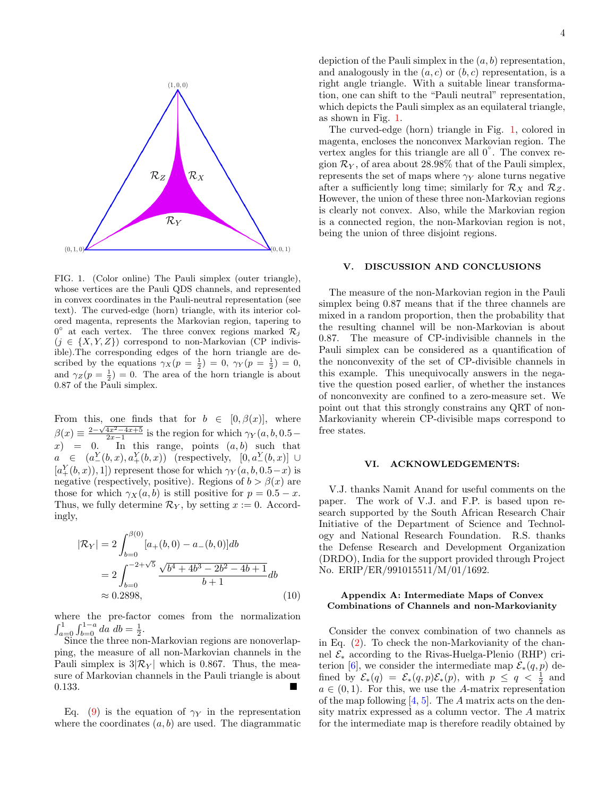

<span id="page-3-0"></span>FIG. 1. (Color online) The Pauli simplex (outer triangle), whose vertices are the Pauli QDS channels, and represented in convex coordinates in the Pauli-neutral representation (see text). The curved-edge (horn) triangle, with its interior colored magenta, represents the Markovian region, tapering to  $0^{\circ}$  at each vertex. The three convex regions marked  $\mathcal{R}_j$  $(j \in \{X, Y, Z\})$  correspond to non-Markovian (CP indivisible).The corresponding edges of the horn triangle are described by the equations  $\gamma_X(p = \frac{1}{2}) = 0$ ,  $\gamma_Y(p = \frac{1}{2}) = 0$ , and  $\gamma_Z(p=\frac{1}{2})=0$ . The area of the horn triangle is about 0.87 of the Pauli simplex.

From this, one finds that for  $b \in [0, \beta(x)]$ , where  $\beta(x) \equiv \frac{2-\sqrt{4x^2-4x+5}}{2x-1}$  is the region for which  $\gamma_Y(a, b, 0.5$  $x$ ) = 0. In this range, points  $(a, b)$  such that  $a \in (a^Y_-(b,x), a^Y_+(b,x))$  (respectively,  $[0, a^Y_-(b,x)] \cup$  $[a_{+}^{Y}(b,x)),1]$  represent those for which  $\gamma_{Y}(a,b,0.5-x)$  is negative (respectively, positive). Regions of  $b > \beta(x)$  are those for which  $\gamma_X(a, b)$  is still positive for  $p = 0.5 - x$ . Thus, we fully determine  $\mathcal{R}_Y$ , by setting  $x := 0$ . Accordingly,

$$
|\mathcal{R}_Y| = 2 \int_{b=0}^{\beta(0)} [a_+(b,0) - a_-(b,0)]db
$$
  
= 
$$
2 \int_{b=0}^{-2+\sqrt{5}} \frac{\sqrt{b^4 + 4b^3 - 2b^2 - 4b + 1}}{b+1} db
$$
  

$$
\approx 0.2898,
$$
 (10)

where the pre-factor comes from the normalization  $\int_{a=0}^{1} \int_{b=0}^{1-a} da \, db = \frac{1}{2}.$ 

Since the three non-Markovian regions are nonoverlapping, the measure of all non-Markovian channels in the Pauli simplex is  $3|\mathcal{R}_Y|$  which is 0.867. Thus, the measure of Markovian channels in the Pauli triangle is about 0.133.

Eq. [\(9\)](#page-2-3) is the equation of  $\gamma_Y$  in the representation where the coordinates  $(a, b)$  are used. The diagrammatic

depiction of the Pauli simplex in the  $(a, b)$  representation, and analogously in the  $(a, c)$  or  $(b, c)$  representation, is a right angle triangle. With a suitable linear transformation, one can shift to the "Pauli neutral" representation, which depicts the Pauli simplex as an equilateral triangle, as shown in Fig. [1.](#page-3-0)

The curved-edge (horn) triangle in Fig. [1,](#page-3-0) colored in magenta, encloses the nonconvex Markovian region. The vertex angles for this triangle are all 0°. The convex region  $\mathcal{R}_Y$ , of area about 28.98% that of the Pauli simplex, represents the set of maps where  $\gamma_Y$  alone turns negative after a sufficiently long time; similarly for  $\mathcal{R}_X$  and  $\mathcal{R}_Z$ . However, the union of these three non-Markovian regions is clearly not convex. Also, while the Markovian region is a connected region, the non-Markovian region is not, being the union of three disjoint regions.

#### V. DISCUSSION AND CONCLUSIONS

The measure of the non-Markovian region in the Pauli simplex being 0.87 means that if the three channels are mixed in a random proportion, then the probability that the resulting channel will be non-Markovian is about 0.87. The measure of CP-indivisible channels in the Pauli simplex can be considered as a quantification of the nonconvexity of the set of CP-divisible channels in this example. This unequivocally answers in the negative the question posed earlier, of whether the instances of nonconvexity are confined to a zero-measure set. We point out that this strongly constrains any QRT of non-Markovianity wherein CP-divisible maps correspond to free states.

### VI. ACKNOWLEDGEMENTS:

V.J. thanks Namit Anand for useful comments on the paper. The work of V.J. and F.P. is based upon research supported by the South African Research Chair Initiative of the Department of Science and Technology and National Research Foundation. R.S. thanks the Defense Research and Development Organization (DRDO), India for the support provided through Project No. ERIP/ER/991015511/M/01/1692.

# Appendix A: Intermediate Maps of Convex Combinations of Channels and non-Markovianity

Consider the convex combination of two channels as in Eq. [\(2\)](#page-1-2). To check the non-Markovianity of the channel  $\mathcal{E}_{*}$  according to the Rivas-Huelga-Plenio (RHP) cri-terion [\[6\]](#page-4-5), we consider the intermediate map  $\mathcal{E}_*(q, p)$  defined by  $\mathcal{E}_*(q) = \mathcal{E}_*(q, p)\mathcal{E}_*(p)$ , with  $p \le q < \frac{1}{2}$  and  $a \in (0,1)$ . For this, we use the A-matrix representation of the map following  $[4, 5]$  $[4, 5]$ . The A matrix acts on the density matrix expressed as a column vector. The A matrix for the intermediate map is therefore readily obtained by